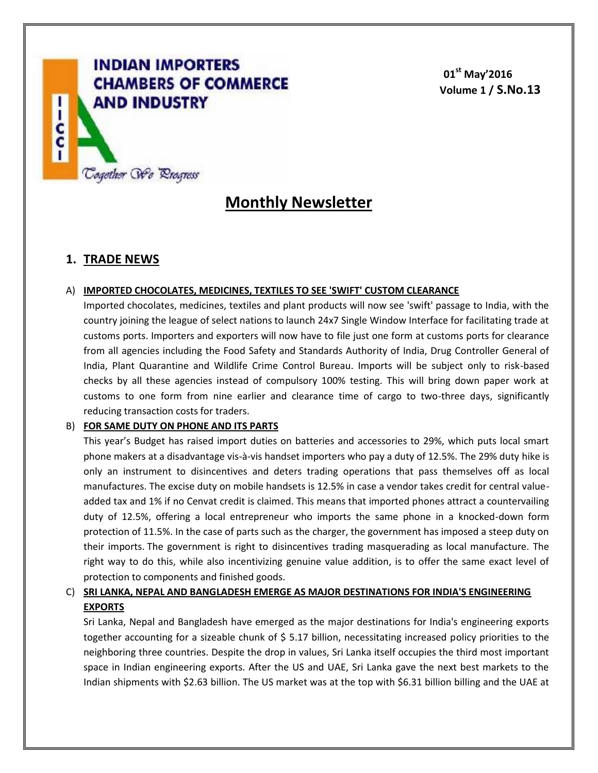

**01st May'2016 Volume 1 / S.No.13**

# **Monthly Newsletter**

# **1. TRADE NEWS**

#### A) **IMPORTED CHOCOLATES, MEDICINES, TEXTILES TO SEE 'SWIFT' CUSTOM CLEARANCE**

Imported chocolates, medicines, textiles and plant products will now see 'swift' passage to India, with the country joining the league of select nations to launch 24x7 Single Window Interface for facilitating trade at customs ports. Importers and exporters will now have to file just one form at customs ports for clearance from all agencies including the Food Safety and Standards Authority of India, Drug Controller General of India, Plant Quarantine and Wildlife Crime Control Bureau. Imports will be subject only to risk-based checks by all these agencies instead of compulsory 100% testing. This will bring down paper work at customs to one form from nine earlier and clearance time of cargo to two-three days, significantly reducing transaction costs for traders.

#### B) **FOR SAME DUTY ON PHONE AND ITS PARTS**

This year's Budget has raised import duties on batteries and accessories to 29%, which puts local smart phone makers at a disadvantage vis-à-vis handset importers who pay a duty of 12.5%. The 29% duty hike is only an instrument to disincentives and deters trading operations that pass themselves off as local manufactures. The excise duty on mobile handsets is 12.5% in case a vendor takes credit for central valueadded tax and 1% if no Cenvat credit is claimed. This means that imported phones attract a countervailing duty of 12.5%, offering a local entrepreneur who imports the same phone in a knocked-down form protection of 11.5%. In the case of parts such as the charger, the government has imposed a steep duty on their imports. The government is right to disincentives trading masquerading as local manufacture. The right way to do this, while also incentivizing genuine value addition, is to offer the same exact level of protection to components and finished goods.

### C) **SRI LANKA, NEPAL AND BANGLADESH EMERGE AS MAJOR DESTINATIONS FOR INDIA'S ENGINEERING EXPORTS**

Sri Lanka, Nepal and Bangladesh have emerged as the major destinations for India's engineering exports together accounting for a sizeable chunk of \$ 5.17 billion, necessitating increased policy priorities to the neighboring three countries. Despite the drop in values, Sri Lanka itself occupies the third most important space in Indian engineering exports. After the US and UAE, Sri Lanka gave the next best markets to the Indian shipments with \$2.63 billion. The US market was at the top with \$6.31 billion billing and the UAE at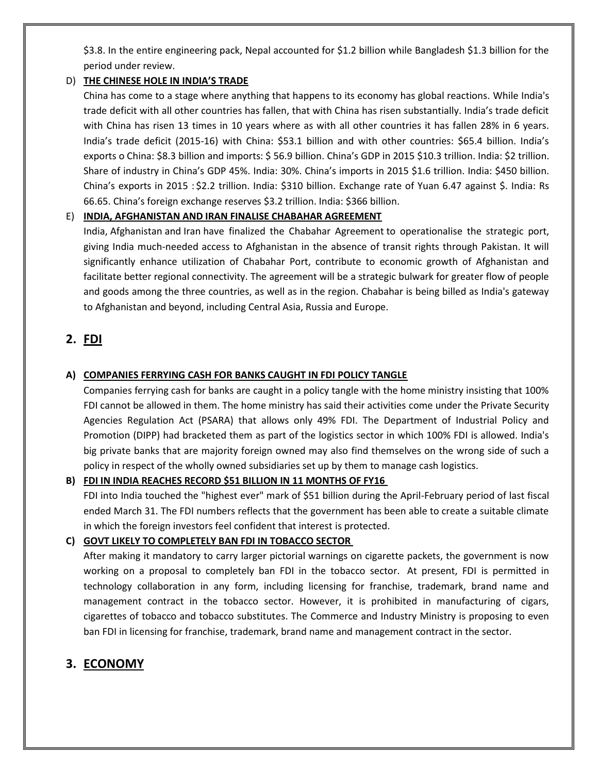\$3.8. In the entire engineering pack, Nepal accounted for \$1.2 billion while Bangladesh \$1.3 billion for the period under review.

#### D) **THE CHINESE HOLE IN INDIA'S TRADE**

China has come to a stage where anything that happens to its economy has global reactions. While India's trade deficit with all other countries has fallen, that with China has risen substantially. India's trade deficit with China has risen 13 times in 10 years where as with all other countries it has fallen 28% in 6 years. India's trade deficit (2015-16) with China: \$53.1 billion and with other countries: \$65.4 billion. India's exports o China: \$8.3 billion and imports: \$ 56.9 billion. China's GDP in 2015 \$10.3 trillion. India: \$2 trillion. Share of industry in China's GDP 45%. India: 30%. China's imports in 2015 \$1.6 trillion. India: \$450 billion. China's exports in 2015 : \$2.2 trillion. India: \$310 billion. Exchange rate of Yuan 6.47 against \$. India: Rs 66.65. China's foreign exchange reserves \$3.2 trillion. India: \$366 billion.

#### E) **INDIA, AFGHANISTAN AND IRAN FINALISE CHABAHAR AGREEMENT**

India, Afghanistan and Iran have finalized the Chabahar Agreement to operationalise the strategic port, giving India much-needed access to Afghanistan in the absence of transit rights through Pakistan. It will significantly enhance utilization of Chabahar Port, contribute to economic growth of Afghanistan and facilitate better regional connectivity. The agreement will be a strategic bulwark for greater flow of people and goods among the three countries, as well as in the region. Chabahar is being billed as India's gateway to Afghanistan and beyond, including Central Asia, Russia and Europe.

## **2. FDI**

#### **A) COMPANIES FERRYING CASH FOR BANKS CAUGHT IN FDI POLICY TANGLE**

Companies ferrying cash for banks are caught in a policy tangle with the home ministry insisting that 100% FDI cannot be allowed in them. The home ministry has said their activities come under the Private Security Agencies Regulation Act (PSARA) that allows only 49% FDI. The Department of Industrial Policy and Promotion (DIPP) had bracketed them as part of the logistics sector in which 100% FDI is allowed. India's big private banks that are majority foreign owned may also find themselves on the wrong side of such a policy in respect of the wholly owned subsidiaries set up by them to manage cash logistics.

#### **B) FDI IN INDIA REACHES RECORD \$51 BILLION IN 11 MONTHS OF FY16**

FDI into India touched the "highest ever" mark of \$51 billion during the April-February period of last fiscal ended March 31. The FDI numbers reflects that the government has been able to create a suitable climate in which the foreign investors feel confident that interest is protected.

#### **C) GOVT LIKELY TO COMPLETELY BAN FDI IN TOBACCO SECTOR**

After making it mandatory to carry larger pictorial warnings on cigarette packets, the government is now working on a proposal to completely ban FDI in the tobacco sector. At present, FDI is permitted in technology collaboration in any form, including licensing for franchise, trademark, brand name and management contract in the tobacco sector. However, it is prohibited in manufacturing of cigars, cigarettes of tobacco and tobacco substitutes. The Commerce and Industry Ministry is proposing to even ban FDI in licensing for franchise, trademark, brand name and management contract in the sector.

# **3. ECONOMY**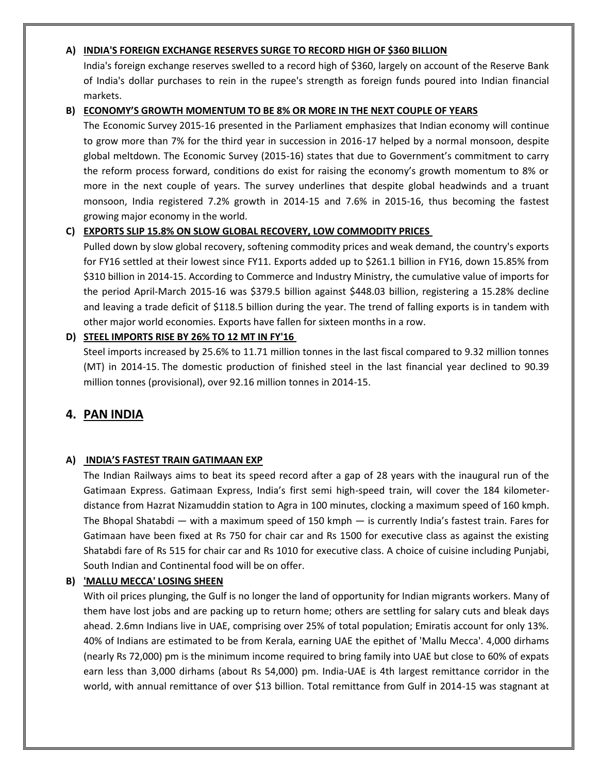#### **A) INDIA'S FOREIGN EXCHANGE RESERVES SURGE TO RECORD HIGH OF \$360 BILLION**

India's foreign exchange reserves swelled to a record high of \$360, largely on account of the Reserve Bank of India's dollar purchases to rein in the rupee's strength as foreign funds poured into Indian financial markets.

#### **B) ECONOMY'S GROWTH MOMENTUM TO BE 8% OR MORE IN THE NEXT COUPLE OF YEARS**

The Economic Survey 2015-16 presented in the Parliament emphasizes that Indian economy will continue to grow more than 7% for the third year in succession in 2016-17 helped by a normal monsoon, despite global meltdown. The Economic Survey (2015-16) states that due to Government's commitment to carry the reform process forward, conditions do exist for raising the economy's growth momentum to 8% or more in the next couple of years. The survey underlines that despite global headwinds and a truant monsoon, India registered 7.2% growth in 2014-15 and 7.6% in 2015-16, thus becoming the fastest growing major economy in the world.

#### **C) EXPORTS SLIP 15.8% ON SLOW GLOBAL RECOVERY, LOW COMMODITY PRICES**

Pulled down by slow global recovery, softening commodity prices and weak demand, the country's exports for FY16 settled at their lowest since FY11. Exports added up to \$261.1 billion in FY16, down 15.85% from \$310 billion in 2014-15. According to Commerce and Industry Ministry, the cumulative value of imports for the period April-March 2015-16 was \$379.5 billion against \$448.03 billion, registering a 15.28% decline and leaving a trade deficit of \$118.5 billion during the year. The trend of falling exports is in tandem with other major world economies. Exports have fallen for sixteen months in a row.

#### **D) STEEL IMPORTS RISE BY 26% TO 12 MT IN FY'16**

Steel imports increased by 25.6% to 11.71 million tonnes in the last fiscal compared to 9.32 million tonnes (MT) in 2014-15. The domestic production of finished steel in the last financial year declined to 90.39 million tonnes (provisional), over 92.16 million tonnes in 2014-15.

# **4. PAN INDIA**

#### **A) INDIA'S FASTEST TRAIN GATIMAAN EXP**

The Indian Railways aims to beat its speed record after a gap of 28 years with the inaugural run of the Gatimaan Express. Gatimaan Express, India's first semi high-speed train, will cover the 184 kilometerdistance from Hazrat Nizamuddin station to Agra in 100 minutes, clocking a maximum speed of 160 kmph. The Bhopal Shatabdi — with a maximum speed of 150 kmph — is currently India's fastest train. Fares for Gatimaan have been fixed at Rs 750 for chair car and Rs 1500 for executive class as against the existing Shatabdi fare of Rs 515 for chair car and Rs 1010 for executive class. A choice of cuisine including Punjabi, South Indian and Continental food will be on offer.

#### **B) 'MALLU MECCA' LOSING SHEEN**

With oil prices plunging, the Gulf is no longer the land of opportunity for Indian migrants workers. Many of them have lost jobs and are packing up to return home; others are settling for salary cuts and bleak days ahead. 2.6mn Indians live in UAE, comprising over 25% of total population; Emiratis account for only 13%. 40% of Indians are estimated to be from Kerala, earning UAE the epithet of 'Mallu Mecca'. 4,000 dirhams (nearly Rs 72,000) pm is the minimum income required to bring family into UAE but close to 60% of expats earn less than 3,000 dirhams (about Rs 54,000) pm. India-UAE is 4th largest remittance corridor in the world, with annual remittance of over \$13 billion. Total remittance from Gulf in 2014-15 was stagnant at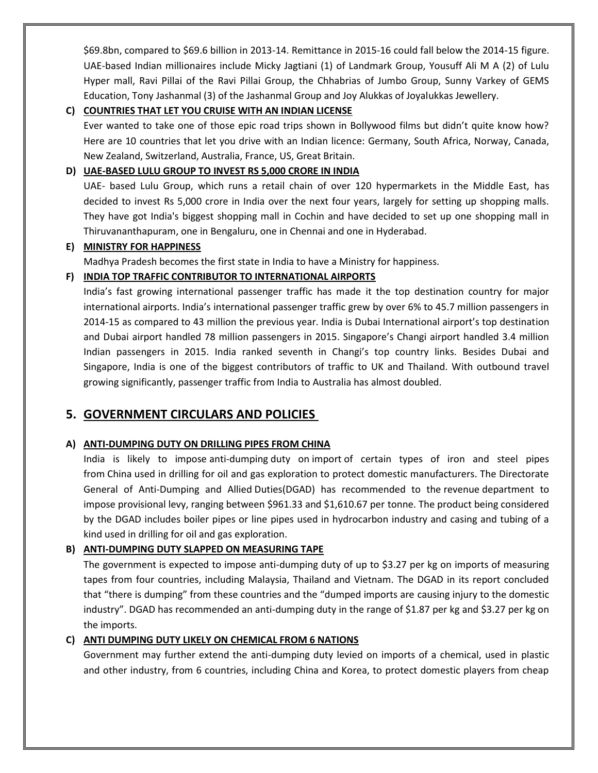\$69.8bn, compared to \$69.6 billion in 2013-14. Remittance in 2015-16 could fall below the 2014-15 figure. UAE-based Indian millionaires include Micky Jagtiani (1) of Landmark Group, Yousuff Ali M A (2) of Lulu Hyper mall, Ravi Pillai of the Ravi Pillai Group, the Chhabrias of Jumbo Group, Sunny Varkey of GEMS Education, Tony Jashanmal (3) of the Jashanmal Group and Joy Alukkas of Joyalukkas Jewellery.

#### **C) COUNTRIES THAT LET YOU CRUISE WITH AN INDIAN LICENSE**

Ever wanted to take one of those epic road trips shown in Bollywood films but didn't quite know how? Here are 10 countries that let you drive with an Indian licence: Germany, South Africa, Norway, Canada, New Zealand, Switzerland, Australia, France, US, Great Britain.

### **D) UAE-BASED LULU GROUP TO INVEST RS 5,000 CRORE IN INDIA**

UAE- based Lulu Group, which runs a retail chain of over 120 hypermarkets in the Middle East, has decided to invest Rs 5,000 crore in India over the next four years, largely for setting up shopping malls. They have got India's biggest shopping mall in Cochin and have decided to set up one shopping mall in Thiruvananthapuram, one in Bengaluru, one in Chennai and one in Hyderabad.

#### **E) MINISTRY FOR HAPPINESS**

Madhya Pradesh becomes the first state in India to have a Ministry for happiness.

### **F) INDIA TOP TRAFFIC CONTRIBUTOR TO INTERNATIONAL AIRPORTS**

India's fast growing international passenger traffic has made it the top destination country for major international airports. India's international passenger traffic grew by over 6% to 45.7 million passengers in 2014-15 as compared to 43 million the previous year. India is Dubai International airport's top destination and Dubai airport handled 78 million passengers in 2015. Singapore's Changi airport handled 3.4 million Indian passengers in 2015. India ranked seventh in Changi's top country links. Besides Dubai and Singapore, India is one of the biggest contributors of traffic to UK and Thailand. With outbound travel growing significantly, passenger traffic from India to Australia has almost doubled.

# **5. GOVERNMENT CIRCULARS AND POLICIES**

#### **A) ANTI-DUMPING DUTY ON DRILLING PIPES FROM CHINA**

India is likely to impose anti-dumping duty on import of certain types of iron and steel pipes from China used in drilling for oil and gas exploration to protect domestic manufacturers. The Directorate General of Anti-Dumping and Allied Duties(DGAD) has recommended to the revenue department to impose provisional levy, ranging between \$961.33 and \$1,610.67 per tonne. The product being considered by the DGAD includes boiler pipes or line pipes used in hydrocarbon industry and casing and tubing of a kind used in drilling for oil and gas exploration.

### **B) ANTI-DUMPING DUTY SLAPPED ON MEASURING TAPE**

The government is expected to impose anti-dumping duty of up to \$3.27 per kg on imports of measuring tapes from four countries, including Malaysia, Thailand and Vietnam. The DGAD in its report concluded that "there is dumping" from these countries and the "dumped imports are causing injury to the domestic industry". DGAD has recommended an anti-dumping duty in the range of \$1.87 per kg and \$3.27 per kg on the imports.

#### **C) ANTI DUMPING DUTY LIKELY ON CHEMICAL FROM 6 NATIONS**

Government may further extend the anti-dumping duty levied on imports of a chemical, used in plastic and other industry, from 6 countries, including China and Korea, to protect domestic players from cheap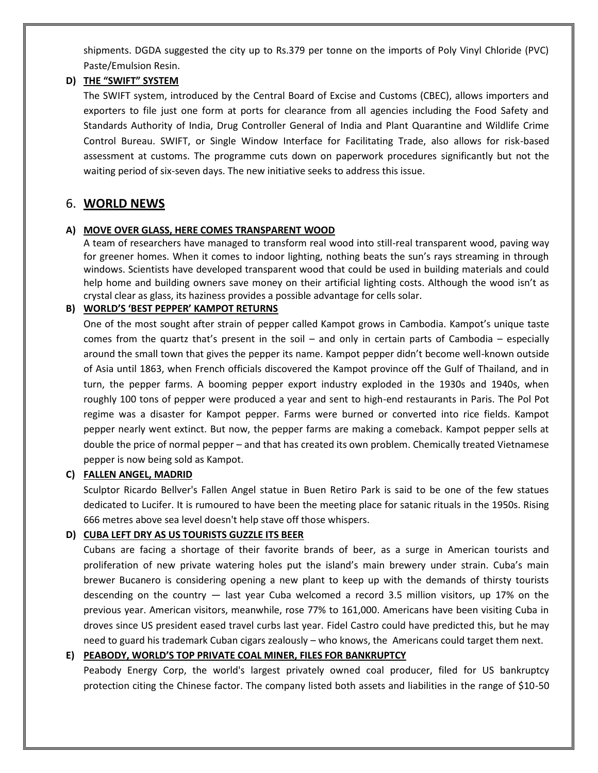shipments. DGDA suggested the city up to Rs.379 per tonne on the imports of Poly Vinyl Chloride (PVC) Paste/Emulsion Resin.

#### **D) THE "SWIFT" SYSTEM**

The SWIFT system, introduced by the Central Board of Excise and Customs (CBEC), allows importers and exporters to file just one form at ports for clearance from all agencies including the Food Safety and Standards Authority of India, Drug Controller General of India and Plant Quarantine and Wildlife Crime Control Bureau. SWIFT, or Single Window Interface for Facilitating Trade, also allows for risk-based assessment at customs. The programme cuts down on paperwork procedures significantly but not the waiting period of six-seven days. The new initiative seeks to address this issue.

### 6. **WORLD NEWS**

#### **A) MOVE OVER GLASS, HERE COMES TRANSPARENT WOOD**

A team of researchers have managed to transform real wood into still-real transparent wood, paving way for greener homes. When it comes to indoor lighting, nothing beats the sun's rays streaming in through windows. Scientists have developed transparent wood that could be used in building materials and could help home and building owners save money on their artificial lighting costs. Although the wood isn't as crystal clear as glass, its haziness provides a possible advantage for cells solar.

#### **B) WORLD'S 'BEST PEPPER' KAMPOT RETURNS**

One of the most sought after strain of pepper called Kampot grows in Cambodia. Kampot's unique taste comes from the quartz that's present in the soil – and only in certain parts of Cambodia – especially around the small town that gives the pepper its name. Kampot pepper didn't become well-known outside of Asia until 1863, when French officials discovered the Kampot province off the Gulf of Thailand, and in turn, the pepper farms. A booming pepper export industry exploded in the 1930s and 1940s, when roughly 100 tons of pepper were produced a year and sent to high-end restaurants in Paris. The Pol Pot regime was a disaster for Kampot pepper. Farms were burned or converted into rice fields. Kampot pepper nearly went extinct. But now, the pepper farms are making a comeback. Kampot pepper sells at double the price of normal pepper – and that has created its own problem. Chemically treated Vietnamese pepper is now being sold as Kampot.

#### **C) FALLEN ANGEL, MADRID**

Sculptor Ricardo Bellver's Fallen Angel statue in Buen Retiro Park is said to be one of the few statues dedicated to Lucifer. It is rumoured to have been the meeting place for satanic rituals in the 1950s. Rising 666 metres above sea level doesn't help stave off those whispers.

#### **D) CUBA LEFT DRY AS US TOURISTS GUZZLE ITS BEER**

Cubans are facing a shortage of their favorite brands of beer, as a surge in American tourists and proliferation of new private watering holes put the island's main brewery under strain. Cuba's main brewer Bucanero is considering opening a new plant to keep up with the demands of thirsty tourists descending on the country — last year Cuba welcomed a record 3.5 million visitors, up 17% on the previous year. American visitors, meanwhile, rose 77% to 161,000. Americans have been visiting Cuba in droves since US president eased travel curbs last year. Fidel Castro could have predicted this, but he may need to guard his trademark Cuban cigars zealously – who knows, the Americans could target them next.

#### **E) PEABODY, WORLD'S TOP PRIVATE COAL MINER, FILES FOR BANKRUPTCY**

Peabody Energy Corp, the world's largest privately owned coal producer, filed for US bankruptcy protection citing the Chinese factor. The company listed both assets and liabilities in the range of \$10-50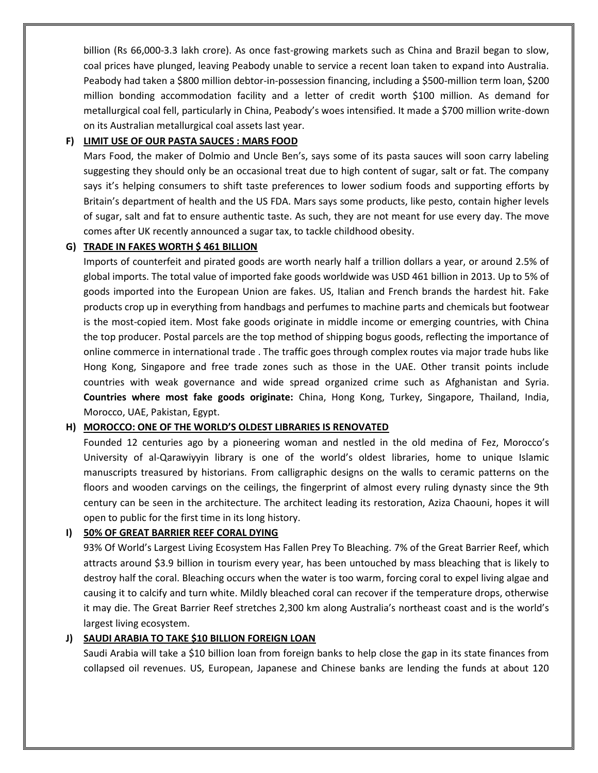billion (Rs 66,000-3.3 lakh crore). As once fast-growing markets such as China and Brazil began to slow, coal prices have plunged, leaving Peabody unable to service a recent loan taken to expand into Australia. Peabody had taken a \$800 million debtor-in-possession financing, including a \$500-million term loan, \$200 million bonding accommodation facility and a letter of credit worth \$100 million. As demand for metallurgical coal fell, particularly in China, Peabody's woes intensified. It made a \$700 million write-down on its Australian metallurgical coal assets last year.

#### **F) LIMIT USE OF OUR PASTA SAUCES : MARS FOOD**

Mars Food, the maker of Dolmio and Uncle Ben's, says some of its pasta sauces will soon carry labeling suggesting they should only be an occasional treat due to high content of sugar, salt or fat. The company says it's helping consumers to shift taste preferences to lower sodium foods and supporting efforts by Britain's department of health and the US FDA. Mars says some products, like pesto, contain higher levels of sugar, salt and fat to ensure authentic taste. As such, they are not meant for use every day. The move comes after UK recently announced a sugar tax, to tackle childhood obesity.

#### **G) TRADE IN FAKES WORTH \$ 461 BILLION**

Imports of counterfeit and pirated goods are worth nearly half a trillion dollars a year, or around 2.5% of global imports. The total value of imported fake goods worldwide was USD 461 billion in 2013. Up to 5% of goods imported into the European Union are fakes. US, Italian and French brands the hardest hit. Fake products crop up in everything from handbags and perfumes to machine parts and chemicals but footwear is the most-copied item. Most fake goods originate in middle income or emerging countries, with China the top producer. Postal parcels are the top method of shipping bogus goods, reflecting the importance of online commerce in international trade . The traffic goes through complex routes via major trade hubs like Hong Kong, Singapore and free trade zones such as those in the UAE. Other transit points include countries with weak governance and wide spread organized crime such as Afghanistan and Syria. **Countries where most fake goods originate:** China, Hong Kong, Turkey, Singapore, Thailand, India, Morocco, UAE, Pakistan, Egypt.

#### **H) MOROCCO: ONE OF THE WORLD'S OLDEST LIBRARIES IS RENOVATED**

Founded 12 centuries ago by a pioneering woman and nestled in the old medina of Fez, Morocco's University of al-Qarawiyyin library is one of the world's oldest libraries, home to unique Islamic manuscripts treasured by historians. From calligraphic designs on the walls to ceramic patterns on the floors and wooden carvings on the ceilings, the fingerprint of almost every ruling dynasty since the 9th century can be seen in the architecture. The architect leading its restoration, Aziza Chaouni, hopes it will open to public for the first time in its long history.

#### **I) 50% OF GREAT BARRIER REEF CORAL DYING**

93% Of World's Largest Living Ecosystem Has Fallen Prey To Bleaching. 7% of the Great Barrier Reef, which attracts around \$3.9 billion in tourism every year, has been untouched by mass bleaching that is likely to destroy half the coral. Bleaching occurs when the water is too warm, forcing coral to expel living algae and causing it to calcify and turn white. Mildly bleached coral can recover if the temperature drops, otherwise it may die. The Great Barrier Reef stretches 2,300 km along Australia's northeast coast and is the world's largest living ecosystem.

#### **J) SAUDI ARABIA TO TAKE \$10 BILLION FOREIGN LOAN**

Saudi Arabia will take a \$10 billion loan from foreign banks to help close the gap in its state finances from collapsed oil revenues. US, European, Japanese and Chinese banks are lending the funds at about 120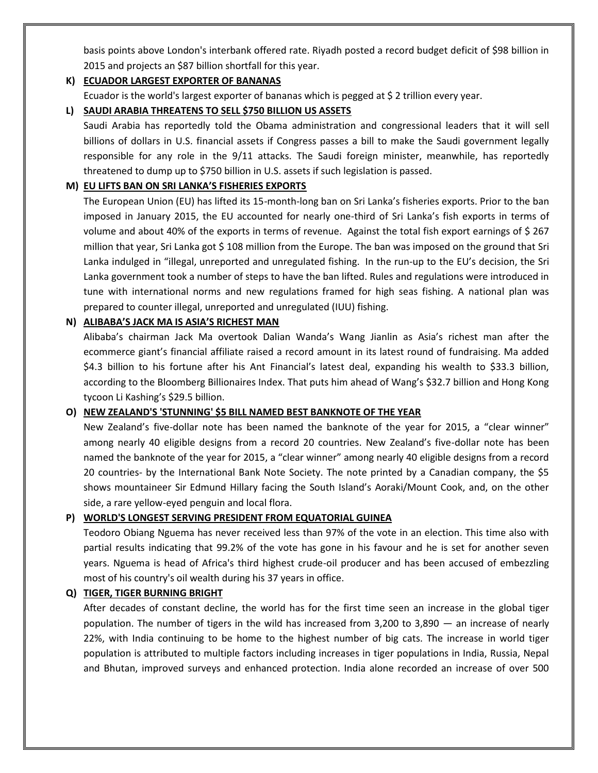basis points above London's interbank offered rate. Riyadh posted a record budget deficit of \$98 billion in 2015 and projects an \$87 billion shortfall for this year.

#### **K) ECUADOR LARGEST EXPORTER OF BANANAS**

Ecuador is the world's largest exporter of bananas which is pegged at \$ 2 trillion every year.

#### **L) SAUDI ARABIA THREATENS TO SELL \$750 BILLION US ASSETS**

Saudi Arabia has reportedly told the Obama administration and congressional leaders that it will sell billions of dollars in U.S. financial assets if Congress passes a bill to make the Saudi government legally responsible for any role in the 9/11 attacks. The Saudi foreign minister, meanwhile, has reportedly threatened to dump up to \$750 billion in U.S. assets if such legislation is passed.

#### **M) EU LIFTS BAN ON SRI LANKA'S FISHERIES EXPORTS**

The European Union (EU) has lifted its 15-month-long ban on Sri Lanka's fisheries exports. Prior to the ban imposed in January 2015, the EU accounted for nearly one-third of Sri Lanka's fish exports in terms of volume and about 40% of the exports in terms of revenue. Against the total fish export earnings of \$ 267 million that year, Sri Lanka got \$ 108 million from the Europe. The ban was imposed on the ground that Sri Lanka indulged in "illegal, unreported and unregulated fishing. In the run-up to the EU's decision, the Sri Lanka government took a number of steps to have the ban lifted. Rules and regulations were introduced in tune with international norms and new regulations framed for high seas fishing. A national plan was prepared to counter illegal, unreported and unregulated (IUU) fishing.

#### **N) ALIBABA'S JACK MA IS ASIA'S RICHEST MAN**

Alibaba's chairman Jack Ma overtook Dalian Wanda's Wang Jianlin as Asia's richest man after the ecommerce giant's financial affiliate raised a record amount in its latest round of fundraising. Ma added \$4.3 billion to his fortune after his Ant Financial's latest deal, expanding his wealth to \$33.3 billion, according to the Bloomberg Billionaires Index. That puts him ahead of Wang's \$32.7 billion and Hong Kong tycoon Li Kashing's \$29.5 billion.

#### **O) NEW ZEALAND'S 'STUNNING' \$5 BILL NAMED BEST BANKNOTE OF THE YEAR**

New Zealand's five-dollar note has been named the banknote of the year for 2015, a "clear winner" among nearly 40 eligible designs from a record 20 countries. New Zealand's five-dollar note has been named the banknote of the year for 2015, a "clear winner" among nearly 40 eligible designs from a record 20 countries- by the International Bank Note Society. The note printed by a Canadian company, the \$5 shows mountaineer Sir Edmund Hillary facing the South Island's Aoraki/Mount Cook, and, on the other side, a rare yellow-eyed penguin and local flora.

#### **P) WORLD'S LONGEST SERVING PRESIDENT FROM EQUATORIAL GUINEA**

Teodoro Obiang Nguema has never received less than 97% of the vote in an election. This time also with partial results indicating that 99.2% of the vote has gone in his favour and he is set for another seven years. Nguema is head of Africa's third highest crude-oil producer and has been accused of embezzling most of his country's oil wealth during his 37 years in office.

#### **Q) TIGER, TIGER BURNING BRIGHT**

After decades of constant decline, the world has for the first time seen an increase in the global tiger population. The number of tigers in the wild has increased from  $3,200$  to  $3,890$  — an increase of nearly 22%, with India continuing to be home to the highest number of big cats. The increase in world tiger population is attributed to multiple factors including increases in tiger populations in India, Russia, Nepal and Bhutan, improved surveys and enhanced protection. India alone recorded an increase of over 500